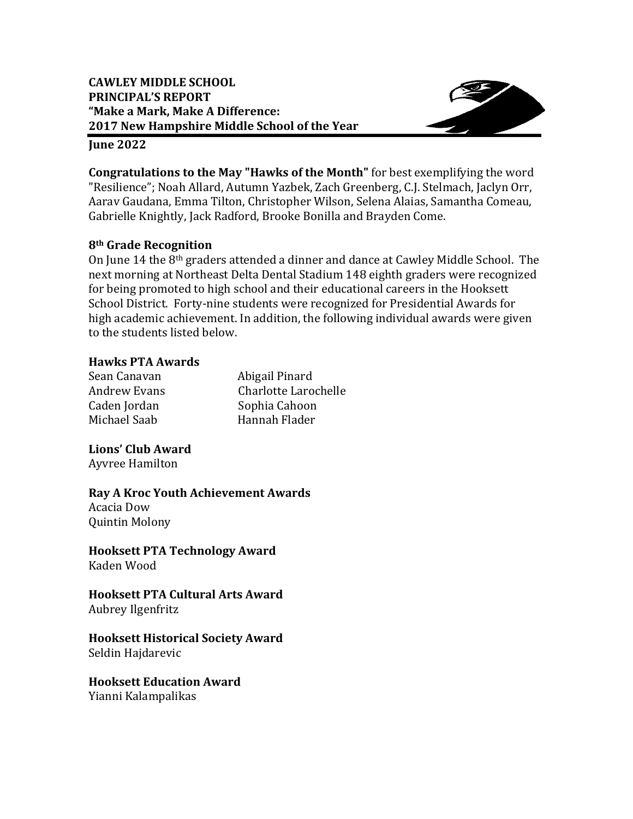

#### **June 2022**

**Congratulations to the May "Hawks of the Month"** for best exemplifying the word "Resilience"; Noah Allard, Autumn Yazbek, Zach Greenberg, C.J. Stelmach, Jaclyn Orr, Aarav Gaudana, Emma Tilton, Christopher Wilson, Selena Alaias, Samantha Comeau, Gabrielle Knightly, Jack Radford, Brooke Bonilla and Brayden Come.

### **8th Grade Recognition**

next morning at Northeast Delta Dental Stadium 148 eighth graders were recognized School District. Forty-nine students were recognized for Presidential Awards for high academic achievement. In addition, the following individual awards were given to the students listed below. On June 14 the 8<sup>th</sup> graders attended a dinner and dance at Cawley Middle School. The for being promoted to high school and their educational careers in the Hooksett

### **Hawks PTA Awards**

Andrew Evans Sean Canavan Michael Saab Hannah Flader

Abigail Pinard Charlotte Larochelle Caden Jordan Sophia Cahoon

# **Lions' Club Award**

 Ayvree Hamilton

 Acacia Dow **Ray A Kroc Youth Achievement Awards**

Quintin Molony

 **Hooksett PTA Technology Award** Kaden Wood

 **Hooksett PTA Cultural Arts Award** Aubrey Ilgenfritz

 **Hooksett Historical Society Award** Seldin Hajdarevic

 **Hooksett Education Award** Yianni Kalampalikas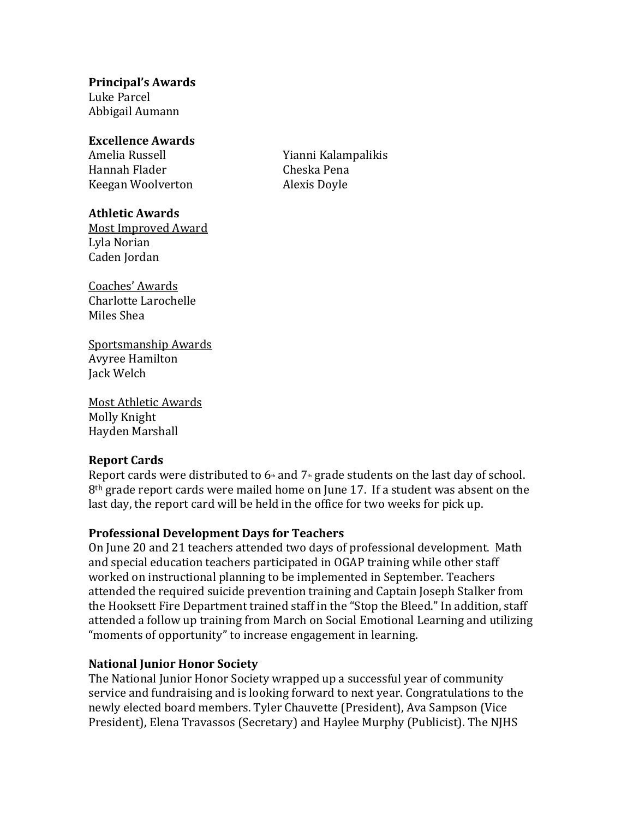**Principal's Awards** Luke Parcel

 Abbigail Aumann

#### **Excellence Awards**

Amelia Russell Hannah Flader Cheska Pena Keegan Woolverton

**Athletic Awards**

 Most Improved Award Lyla Norian Caden Jordan

Alexis Dovle Yianni Kalampalikis

 Coaches' Awards Charlotte Larochelle Miles Shea

 Sportsmanship Awards Avyree Hamilton Jack Welch

 Most Athletic Awards Molly Knight Hayden Marshall

### **Report Cards**

Report cards were distributed to  $6*$  and  $7*$  grade students on the last day of school.  $8<sup>th</sup>$  grade report cards were mailed home on June 17. If a student was absent on the last day, the report card will be held in the office for two weeks for pick up.

# **Professional Development Days for Teachers**

and special education teachers participated in OGAP training while other staff worked on instructional planning to be implemented in September. Teachers the Hooksett Fire Department trained staff in the "Stop the Bleed." In addition, staff attended a follow up training from March on Social Emotional Learning and utilizing "moments of opportunity" to increase engagement in learning. On June 20 and 21 teachers attended two days of professional development. Math attended the required suicide prevention training and Captain Joseph Stalker from

# **National Junior Honor Society**

The National Junior Honor Society wrapped up a successful year of community service and fundraising and is looking forward to next year. Congratulations to the newly elected board members. Tyler Chauvette (President), Ava Sampson (Vice President), Elena Travassos (Secretary) and Haylee Murphy (Publicist). The NJHS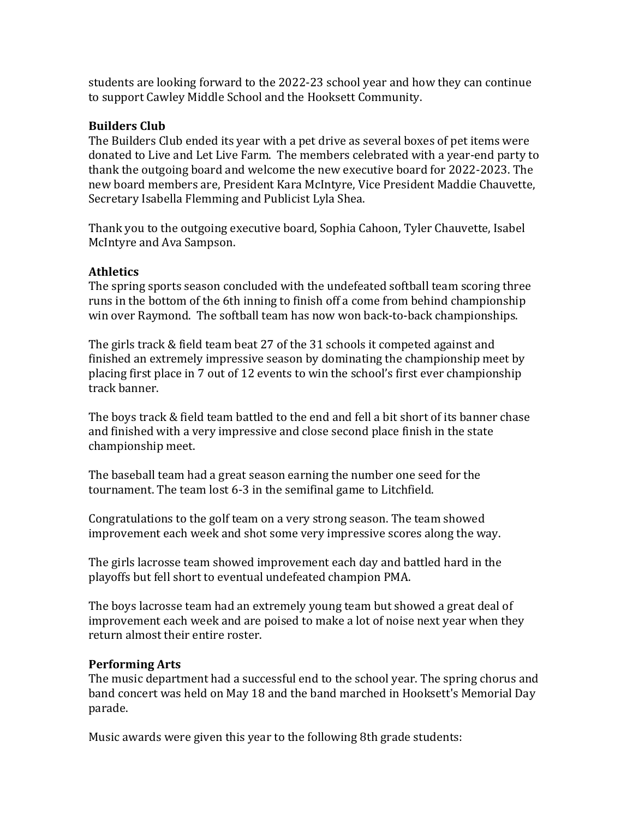students are looking forward to the 2022-23 school year and how they can continue to support Cawley Middle School and the Hooksett Community.

### **Builders Club**

The Builders Club ended its year with a pet drive as several boxes of pet items were donated to Live and Let Live Farm. The members celebrated with a year-end party to thank the outgoing board and welcome the new executive board for 2022-2023. The new board members are, President Kara McIntyre, Vice President Maddie Chauvette, Secretary Isabella Flemming and Publicist Lyla Shea.

Thank you to the outgoing executive board, Sophia Cahoon, Tyler Chauvette, Isabel McIntyre and Ava Sampson.

### **Athletics**

The spring sports season concluded with the undefeated softball team scoring three runs in the bottom of the 6th inning to finish off a come from behind championship win over Raymond. The softball team has now won back-to-back championships.

The girls track & field team beat 27 of the 31 schools it competed against and finished an extremely impressive season by dominating the championship meet by placing first place in 7 out of 12 events to win the school's first ever championship track banner.

The boys track & field team battled to the end and fell a bit short of its banner chase and finished with a very impressive and close second place finish in the state championship meet.

The baseball team had a great season earning the number one seed for the tournament. The team lost 6-3 in the semifinal game to Litchfield.

Congratulations to the golf team on a very strong season. The team showed improvement each week and shot some very impressive scores along the way.

The girls lacrosse team showed improvement each day and battled hard in the playoffs but fell short to eventual undefeated champion PMA.

The boys lacrosse team had an extremely young team but showed a great deal of improvement each week and are poised to make a lot of noise next year when they return almost their entire roster.

### **Performing Arts**

The music department had a successful end to the school year. The spring chorus and band concert was held on May 18 and the band marched in Hooksett's Memorial Day parade.

Music awards were given this year to the following 8th grade students: